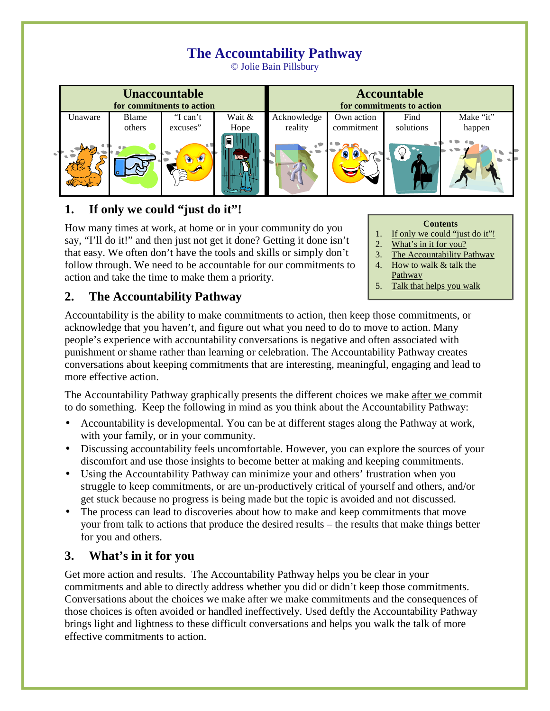# **The Accountability Pathway**

© Jolie Bain Pillsbury



## **1. If only we could "just do it"!**

How many times at work, at home or in your community do you say, "I'll do it!" and then just not get it done? Getting it done isn't that easy. We often don't have the tools and skills or simply don't follow through. We need to be accountable for our commitments to action and take the time to make them a priority.

#### **Contents**

- 1. If only we could "just do it"!
- 2. What's in it for you?
- 3. The Accountability Pathway
- 4. How to walk & talk the **Pathway**
- 5. Talk that helps you walk

#### **2. The Accountability Pathway**

Accountability is the ability to make commitments to action, then keep those commitments, or acknowledge that you haven't, and figure out what you need to do to move to action. Many people's experience with accountability conversations is negative and often associated with punishment or shame rather than learning or celebration. The Accountability Pathway creates conversations about keeping commitments that are interesting, meaningful, engaging and lead to more effective action.

The Accountability Pathway graphically presents the different choices we make after we commit to do something. Keep the following in mind as you think about the Accountability Pathway:

- Accountability is developmental. You can be at different stages along the Pathway at work, with your family, or in your community.
- Discussing accountability feels uncomfortable. However, you can explore the sources of your discomfort and use those insights to become better at making and keeping commitments.
- Using the Accountability Pathway can minimize your and others' frustration when you struggle to keep commitments, or are un-productively critical of yourself and others, and/or get stuck because no progress is being made but the topic is avoided and not discussed.
- The process can lead to discoveries about how to make and keep commitments that move your from talk to actions that produce the desired results – the results that make things better for you and others.

#### **3. What's in it for you**

Get more action and results. The Accountability Pathway helps you be clear in your commitments and able to directly address whether you did or didn't keep those commitments. Conversations about the choices we make after we make commitments and the consequences of those choices is often avoided or handled ineffectively. Used deftly the Accountability Pathway brings light and lightness to these difficult conversations and helps you walk the talk of more effective commitments to action.